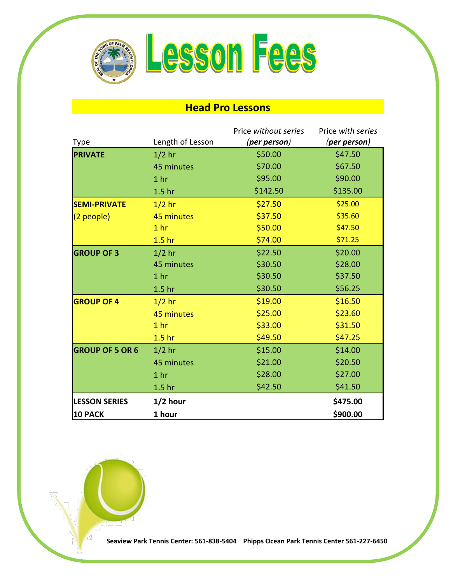

## **Head Pro Lessons**

|                        |                   | Price without series | Price with series |
|------------------------|-------------------|----------------------|-------------------|
| <b>Type</b>            | Length of Lesson  | (per person)         | (per person)      |
| <b>PRIVATE</b>         | $1/2$ hr          | \$50.00              | \$47.50           |
|                        | 45 minutes        | \$70.00              | \$67.50           |
|                        | 1 <sub>hr</sub>   | \$95.00              | \$90.00           |
|                        | 1.5 <sub>hr</sub> | \$142.50             | \$135.00          |
| <b>SEMI-PRIVATE</b>    | $1/2$ hr          | \$27.50              | \$25.00           |
| $(2$ people)           | 45 minutes        | \$37.50              | \$35.60           |
|                        | 1 <sub>hr</sub>   | \$50.00              | \$47.50           |
|                        | 1.5 <sub>hr</sub> | \$74.00              | \$71.25           |
| <b>GROUP OF 3</b>      | $1/2$ hr          | \$22.50              | \$20.00           |
|                        | 45 minutes        | \$30.50              | \$28.00           |
|                        | 1 <sub>hr</sub>   | \$30.50              | \$37.50           |
|                        | 1.5 <sub>hr</sub> | \$30.50              | \$56.25           |
| <b>GROUP OF 4</b>      | $1/2$ hr          | \$19.00              | \$16.50           |
|                        | 45 minutes        | \$25.00              | \$23.60           |
|                        | 1 <sub>hr</sub>   | \$33.00              | \$31.50           |
|                        | 1.5 <sub>hr</sub> | \$49.50              | \$47.25           |
| <b>GROUP OF 5 OR 6</b> | $1/2$ hr          | \$15.00              | \$14.00           |
|                        | 45 minutes        | \$21.00              | \$20.50           |
|                        | 1 <sub>hr</sub>   | \$28.00              | \$27.00           |
|                        | 1.5 <sub>hr</sub> | \$42.50              | \$41.50           |
| <b>LESSON SERIES</b>   | $1/2$ hour        |                      | \$475.00          |
| 10 PACK                | 1 hour            |                      | \$900.00          |



**Seaview Park Tennis Center: 561-838-5404 Phipps Ocean Park Tennis Center 561-227-6450**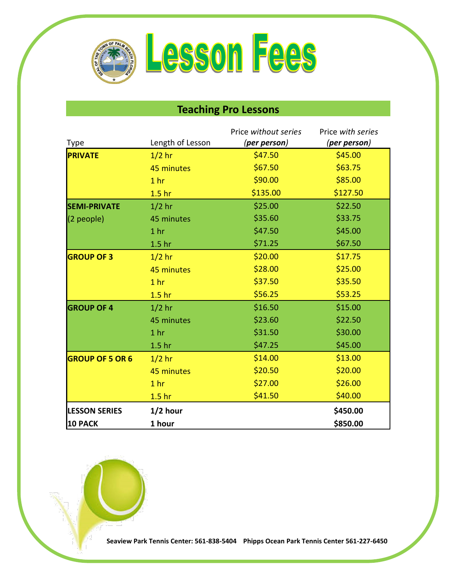

## **Teaching Pro Lessons**

|                        |                   | Price without series | Price with series |
|------------------------|-------------------|----------------------|-------------------|
| <b>Type</b>            | Length of Lesson  | (per person)         | (per person)      |
| <b>PRIVATE</b>         | $1/2$ hr          | \$47.50              | \$45.00           |
|                        | 45 minutes        | \$67.50              | \$63.75           |
|                        | 1 <sub>hr</sub>   | \$90.00              | \$85.00           |
|                        | 1.5 <sub>hr</sub> | \$135.00             | \$127.50          |
| <b>SEMI-PRIVATE</b>    | $1/2$ hr          | \$25.00              | \$22.50           |
| (2 people)             | 45 minutes        | \$35.60              | \$33.75           |
|                        | 1 <sub>hr</sub>   | \$47.50              | \$45.00           |
|                        | 1.5 <sub>hr</sub> | \$71.25              | \$67.50           |
| <b>GROUP OF 3</b>      | $1/2$ hr          | \$20.00              | \$17.75           |
|                        | 45 minutes        | \$28.00              | \$25.00           |
|                        | 1 <sub>hr</sub>   | \$37.50              | \$35.50           |
|                        | 1.5 <sub>hr</sub> | \$56.25              | \$53.25           |
| <b>GROUP OF 4</b>      | $1/2$ hr          | \$16.50              | \$15.00           |
|                        | 45 minutes        | \$23.60              | \$22.50           |
|                        | 1 <sub>hr</sub>   | \$31.50              | \$30.00           |
|                        | 1.5 <sub>hr</sub> | \$47.25              | \$45.00           |
| <b>GROUP OF 5 OR 6</b> | $1/2$ hr          | \$14.00              | \$13.00           |
|                        | 45 minutes        | \$20.50              | \$20.00           |
|                        | 1 <sub>hr</sub>   | \$27.00              | \$26.00           |
|                        | 1.5 <sub>hr</sub> | \$41.50              | \$40.00           |
| <b>LESSON SERIES</b>   | $1/2$ hour        |                      | \$450.00          |
| <b>10 PACK</b>         | 1 hour            |                      | \$850.00          |